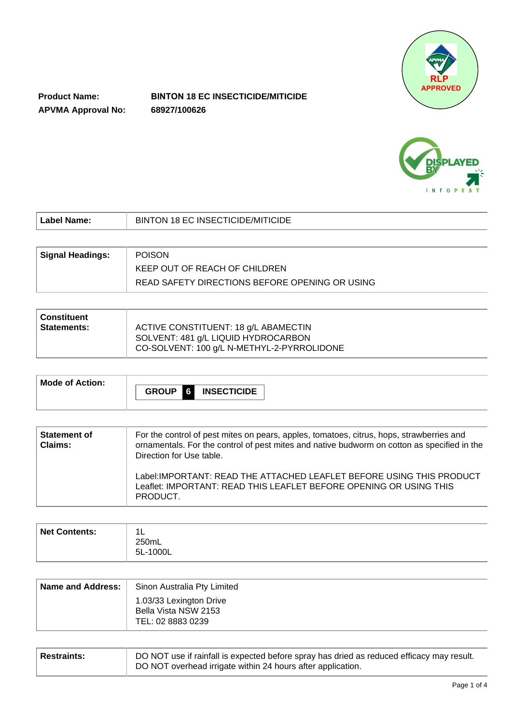

**Product Name: APVMA Approval No:**

# **BINTON 18 EC INSECTICIDE/MITICIDE 68927/100626**



| Label Name:             | BINTON 18 EC INSECTICIDE/MITICIDE              |
|-------------------------|------------------------------------------------|
|                         |                                                |
| <b>Signal Headings:</b> | <b>POISON</b>                                  |
|                         | KEEP OUT OF REACH OF CHILDREN                  |
|                         | READ SAFETY DIRECTIONS BEFORE OPENING OR USING |

| ∣ Constituent<br>  Statements: | ACTIVE CONSTITUENT: 18 g/L ABAMECTIN                                              |
|--------------------------------|-----------------------------------------------------------------------------------|
|                                | SOLVENT: 481 g/L LIQUID HYDROCARBON<br>CO-SOLVENT: 100 g/L N-METHYL-2-PYRROLIDONE |

| Mode of Action: | $\blacksquare$ 6<br><b>GROUP</b><br><b>INSECTICIDE</b> |
|-----------------|--------------------------------------------------------|
|                 |                                                        |

| <b>Statement of</b><br><b>Claims:</b> | For the control of pest mites on pears, apples, tomatoes, citrus, hops, strawberries and<br>ornamentals. For the control of pest mites and native budworm on cotton as specified in the<br>Direction for Use table. |
|---------------------------------------|---------------------------------------------------------------------------------------------------------------------------------------------------------------------------------------------------------------------|
|                                       | Label: IMPORTANT: READ THE ATTACHED LEAFLET BEFORE USING THIS PRODUCT<br>Leaflet: IMPORTANT: READ THIS LEAFLET BEFORE OPENING OR USING THIS<br>PRODUCT.                                                             |

| Net Contents: | $\overline{\mathbf{A}}$<br>--<br>250mL<br>5L-1000L |
|---------------|----------------------------------------------------|
|               |                                                    |

| Name and Address: | Sinon Australia Pty Limited                                          |
|-------------------|----------------------------------------------------------------------|
|                   | 1.03/33 Lexington Drive<br>Bella Vista NSW 2153<br>TEL: 02 8883 0239 |

| <b>Restraints:</b> | DO NOT use if rainfall is expected before spray has dried as reduced efficacy may result. |
|--------------------|-------------------------------------------------------------------------------------------|
|                    | DO NOT overhead irrigate within 24 hours after application.                               |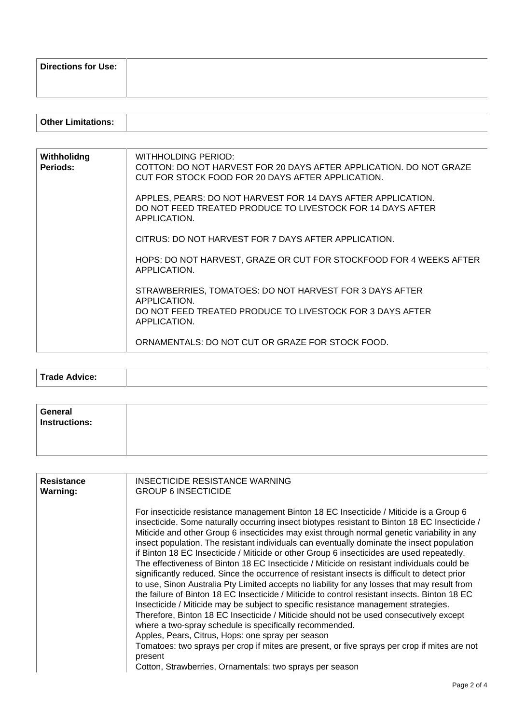| <b>Directions for Use:</b> |  |
|----------------------------|--|
|                            |  |
|                            |  |

| Withholidng<br>Periods: | WITHHOLDING PERIOD:<br>COTTON: DO NOT HARVEST FOR 20 DAYS AFTER APPLICATION. DO NOT GRAZE<br>CUT FOR STOCK FOOD FOR 20 DAYS AFTER APPLICATION. |
|-------------------------|------------------------------------------------------------------------------------------------------------------------------------------------|
|                         | APPLES, PEARS: DO NOT HARVEST FOR 14 DAYS AFTER APPLICATION.<br>DO NOT FEED TREATED PRODUCE TO LIVESTOCK FOR 14 DAYS AFTER<br>APPLICATION.     |
|                         | CITRUS: DO NOT HARVEST FOR 7 DAYS AFTER APPLICATION.                                                                                           |
|                         | HOPS: DO NOT HARVEST, GRAZE OR CUT FOR STOCKFOOD FOR 4 WEEKS AFTER<br>APPLICATION.                                                             |
|                         | STRAWBERRIES, TOMATOES: DO NOT HARVEST FOR 3 DAYS AFTER<br>APPLICATION.<br>DO NOT FEED TREATED PRODUCE TO LIVESTOCK FOR 3 DAYS AFTER           |
|                         | APPLICATION.<br>ORNAMENTALS: DO NOT CUT OR GRAZE FOR STOCK FOOD.                                                                               |
|                         |                                                                                                                                                |

| in the country of the U.S.<br>. . |  |
|-----------------------------------|--|

| General<br>Instructions: |  |
|--------------------------|--|
|                          |  |

| <b>Resistance</b><br><b>Warning:</b> | INSECTICIDE RESISTANCE WARNING<br><b>GROUP 6 INSECTICIDE</b>                                                                                                                                                                                                                                                                                                                                                                                                                                                                                                                                                                                                                                                                                                                                                                                                                                                                                                                                                                                                                                                                                                                                                                                                                                                                                              |  |  |  |
|--------------------------------------|-----------------------------------------------------------------------------------------------------------------------------------------------------------------------------------------------------------------------------------------------------------------------------------------------------------------------------------------------------------------------------------------------------------------------------------------------------------------------------------------------------------------------------------------------------------------------------------------------------------------------------------------------------------------------------------------------------------------------------------------------------------------------------------------------------------------------------------------------------------------------------------------------------------------------------------------------------------------------------------------------------------------------------------------------------------------------------------------------------------------------------------------------------------------------------------------------------------------------------------------------------------------------------------------------------------------------------------------------------------|--|--|--|
|                                      | For insecticide resistance management Binton 18 EC Insecticide / Miticide is a Group 6<br>insecticide. Some naturally occurring insect biotypes resistant to Binton 18 EC Insecticide /<br>Miticide and other Group 6 insecticides may exist through normal genetic variability in any<br>insect population. The resistant individuals can eventually dominate the insect population<br>if Binton 18 EC Insecticide / Miticide or other Group 6 insecticides are used repeatedly.<br>The effectiveness of Binton 18 EC Insecticide / Miticide on resistant individuals could be<br>significantly reduced. Since the occurrence of resistant insects is difficult to detect prior<br>to use, Sinon Australia Pty Limited accepts no liability for any losses that may result from<br>the failure of Binton 18 EC Insecticide / Miticide to control resistant insects. Binton 18 EC<br>Insecticide / Miticide may be subject to specific resistance management strategies.<br>Therefore, Binton 18 EC Insecticide / Miticide should not be used consecutively except<br>where a two-spray schedule is specifically recommended.<br>Apples, Pears, Citrus, Hops: one spray per season<br>Tomatoes: two sprays per crop if mites are present, or five sprays per crop if mites are not<br>present<br>Cotton, Strawberries, Ornamentals: two sprays per season |  |  |  |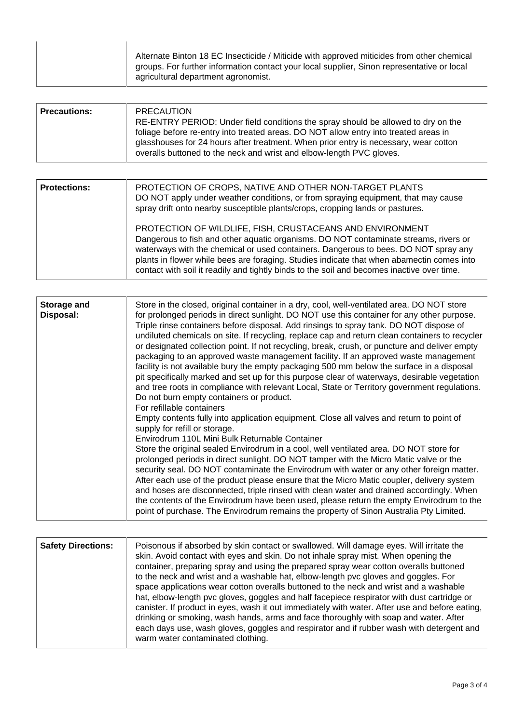| Alternate Binton 18 EC Insecticide / Miticide with approved miticides from other chemical<br>groups. For further information contact your local supplier, Sinon representative or local<br>agricultural department agronomist. |
|--------------------------------------------------------------------------------------------------------------------------------------------------------------------------------------------------------------------------------|
|                                                                                                                                                                                                                                |
|                                                                                                                                                                                                                                |

| <b>Precautions:</b> | <b>PRECAUTION</b><br>RE-ENTRY PERIOD: Under field conditions the spray should be allowed to dry on the<br>foliage before re-entry into treated areas. DO NOT allow entry into treated areas in<br>glasshouses for 24 hours after treatment. When prior entry is necessary, wear cotton<br>overalls buttoned to the neck and wrist and elbow-length PVC gloves. |
|---------------------|----------------------------------------------------------------------------------------------------------------------------------------------------------------------------------------------------------------------------------------------------------------------------------------------------------------------------------------------------------------|
|---------------------|----------------------------------------------------------------------------------------------------------------------------------------------------------------------------------------------------------------------------------------------------------------------------------------------------------------------------------------------------------------|

| <b>Protections:</b> | PROTECTION OF CROPS, NATIVE AND OTHER NON-TARGET PLANTS<br>DO NOT apply under weather conditions, or from spraying equipment, that may cause<br>spray drift onto nearby susceptible plants/crops, cropping lands or pastures.                                                                                                                                                                                                       |
|---------------------|-------------------------------------------------------------------------------------------------------------------------------------------------------------------------------------------------------------------------------------------------------------------------------------------------------------------------------------------------------------------------------------------------------------------------------------|
|                     | PROTECTION OF WILDLIFE, FISH, CRUSTACEANS AND ENVIRONMENT<br>Dangerous to fish and other aquatic organisms. DO NOT contaminate streams, rivers or<br>waterways with the chemical or used containers. Dangerous to bees. DO NOT spray any<br>plants in flower while bees are foraging. Studies indicate that when abamectin comes into<br>contact with soil it readily and tightly binds to the soil and becomes inactive over time. |

| the contents of the Envirodrum have been used, please return the empty Envirodrum to the<br>point of purchase. The Envirodrum remains the property of Sinon Australia Pty Limited. | <b>Storage and</b><br>Disposal: | Store in the closed, original container in a dry, cool, well-ventilated area. DO NOT store<br>for prolonged periods in direct sunlight. DO NOT use this container for any other purpose.<br>Triple rinse containers before disposal. Add rinsings to spray tank. DO NOT dispose of<br>undiluted chemicals on site. If recycling, replace cap and return clean containers to recycler<br>or designated collection point. If not recycling, break, crush, or puncture and deliver empty<br>packaging to an approved waste management facility. If an approved waste management<br>facility is not available bury the empty packaging 500 mm below the surface in a disposal<br>pit specifically marked and set up for this purpose clear of waterways, desirable vegetation<br>and tree roots in compliance with relevant Local, State or Territory government regulations.<br>Do not burn empty containers or product.<br>For refillable containers<br>Empty contents fully into application equipment. Close all valves and return to point of<br>supply for refill or storage.<br>Envirodrum 110L Mini Bulk Returnable Container<br>Store the original sealed Envirodrum in a cool, well ventilated area. DO NOT store for<br>prolonged periods in direct sunlight. DO NOT tamper with the Micro Matic valve or the<br>security seal. DO NOT contaminate the Envirodrum with water or any other foreign matter.<br>After each use of the product please ensure that the Micro Matic coupler, delivery system<br>and hoses are disconnected, triple rinsed with clean water and drained accordingly. When |
|------------------------------------------------------------------------------------------------------------------------------------------------------------------------------------|---------------------------------|-----------------------------------------------------------------------------------------------------------------------------------------------------------------------------------------------------------------------------------------------------------------------------------------------------------------------------------------------------------------------------------------------------------------------------------------------------------------------------------------------------------------------------------------------------------------------------------------------------------------------------------------------------------------------------------------------------------------------------------------------------------------------------------------------------------------------------------------------------------------------------------------------------------------------------------------------------------------------------------------------------------------------------------------------------------------------------------------------------------------------------------------------------------------------------------------------------------------------------------------------------------------------------------------------------------------------------------------------------------------------------------------------------------------------------------------------------------------------------------------------------------------------------------------------------------------------------------------------------------|
|------------------------------------------------------------------------------------------------------------------------------------------------------------------------------------|---------------------------------|-----------------------------------------------------------------------------------------------------------------------------------------------------------------------------------------------------------------------------------------------------------------------------------------------------------------------------------------------------------------------------------------------------------------------------------------------------------------------------------------------------------------------------------------------------------------------------------------------------------------------------------------------------------------------------------------------------------------------------------------------------------------------------------------------------------------------------------------------------------------------------------------------------------------------------------------------------------------------------------------------------------------------------------------------------------------------------------------------------------------------------------------------------------------------------------------------------------------------------------------------------------------------------------------------------------------------------------------------------------------------------------------------------------------------------------------------------------------------------------------------------------------------------------------------------------------------------------------------------------|

| <b>Safety Directions:</b> | Poisonous if absorbed by skin contact or swallowed. Will damage eyes. Will irritate the<br>skin. Avoid contact with eyes and skin. Do not inhale spray mist. When opening the<br>container, preparing spray and using the prepared spray wear cotton overalls buttoned<br>to the neck and wrist and a washable hat, elbow-length pvc gloves and goggles. For<br>space applications wear cotton overalls buttoned to the neck and wrist and a washable<br>hat, elbow-length pvc gloves, goggles and half facepiece respirator with dust cartridge or<br>canister. If product in eyes, wash it out immediately with water. After use and before eating,<br>drinking or smoking, wash hands, arms and face thoroughly with soap and water. After<br>each days use, wash gloves, goggles and respirator and if rubber wash with detergent and |
|---------------------------|-------------------------------------------------------------------------------------------------------------------------------------------------------------------------------------------------------------------------------------------------------------------------------------------------------------------------------------------------------------------------------------------------------------------------------------------------------------------------------------------------------------------------------------------------------------------------------------------------------------------------------------------------------------------------------------------------------------------------------------------------------------------------------------------------------------------------------------------|
|                           | warm water contaminated clothing.                                                                                                                                                                                                                                                                                                                                                                                                                                                                                                                                                                                                                                                                                                                                                                                                         |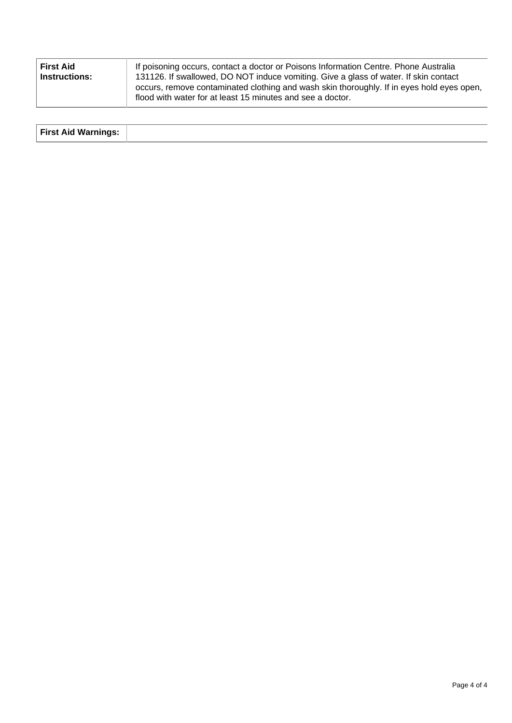| <b>First Aid</b> | If poisoning occurs, contact a doctor or Poisons Information Centre. Phone Australia                                                                                                                                                            |
|------------------|-------------------------------------------------------------------------------------------------------------------------------------------------------------------------------------------------------------------------------------------------|
| Instructions:    | 131126. If swallowed, DO NOT induce vomiting. Give a glass of water. If skin contact<br>occurs, remove contaminated clothing and wash skin thoroughly. If in eyes hold eyes open,<br>flood with water for at least 15 minutes and see a doctor. |

| <b>First Aid Warnings:</b> |  |
|----------------------------|--|
|                            |  |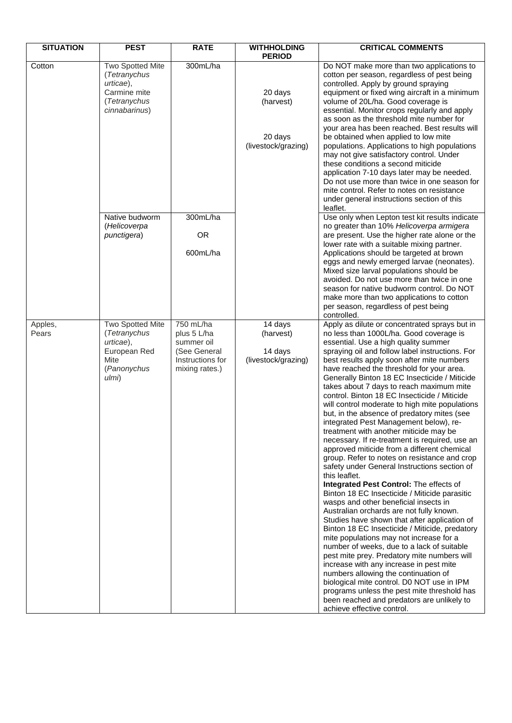| <b>SITUATION</b> | <b>PEST</b>                                                                                          | <b>RATE</b>                                                                                  | <b>WITHHOLDING</b><br><b>PERIOD</b>                    | <b>CRITICAL COMMENTS</b>                                                                                                                                                                                                                                                                                                                                                                                                                                                                                                                                                                                                                                                                                                                                                                                                                                                                                                                                                                                                                                                                                                                                                                                                                                                                                                                                                                                                                                                                                                  |
|------------------|------------------------------------------------------------------------------------------------------|----------------------------------------------------------------------------------------------|--------------------------------------------------------|---------------------------------------------------------------------------------------------------------------------------------------------------------------------------------------------------------------------------------------------------------------------------------------------------------------------------------------------------------------------------------------------------------------------------------------------------------------------------------------------------------------------------------------------------------------------------------------------------------------------------------------------------------------------------------------------------------------------------------------------------------------------------------------------------------------------------------------------------------------------------------------------------------------------------------------------------------------------------------------------------------------------------------------------------------------------------------------------------------------------------------------------------------------------------------------------------------------------------------------------------------------------------------------------------------------------------------------------------------------------------------------------------------------------------------------------------------------------------------------------------------------------------|
| Cotton           | Two Spotted Mite<br>(Tetranychus<br>urticae),<br>Carmine mite<br>(Tetranychus<br>cinnabarinus)       | 300mL/ha                                                                                     | 20 days<br>(harvest)<br>20 days<br>(livestock/grazing) | Do NOT make more than two applications to<br>cotton per season, regardless of pest being<br>controlled. Apply by ground spraying<br>equipment or fixed wing aircraft in a minimum<br>volume of 20L/ha. Good coverage is<br>essential. Monitor crops regularly and apply<br>as soon as the threshold mite number for<br>your area has been reached. Best results will<br>be obtained when applied to low mite<br>populations. Applications to high populations<br>may not give satisfactory control. Under<br>these conditions a second miticide<br>application 7-10 days later may be needed.<br>Do not use more than twice in one season for<br>mite control. Refer to notes on resistance<br>under general instructions section of this<br>leaflet.                                                                                                                                                                                                                                                                                                                                                                                                                                                                                                                                                                                                                                                                                                                                                                     |
|                  | Native budworm<br>(Helicoverpa<br>punctigera)                                                        | 300mL/ha<br><b>OR</b><br>600mL/ha                                                            |                                                        | Use only when Lepton test kit results indicate<br>no greater than 10% Helicoverpa armigera<br>are present. Use the higher rate alone or the<br>lower rate with a suitable mixing partner.<br>Applications should be targeted at brown<br>eggs and newly emerged larvae (neonates).<br>Mixed size larval populations should be<br>avoided. Do not use more than twice in one<br>season for native budworm control. Do NOT<br>make more than two applications to cotton<br>per season, regardless of pest being<br>controlled.                                                                                                                                                                                                                                                                                                                                                                                                                                                                                                                                                                                                                                                                                                                                                                                                                                                                                                                                                                                              |
| Apples,<br>Pears | <b>Two Spotted Mite</b><br>(Tetranychus<br>urticae),<br>European Red<br>Mite<br>(Panonychus<br>ulmi) | 750 mL/ha<br>plus 5 L/ha<br>summer oil<br>(See General<br>Instructions for<br>mixing rates.) | 14 days<br>(harvest)<br>14 days<br>(livestock/grazing) | Apply as dilute or concentrated sprays but in<br>no less than 1000L/ha. Good coverage is<br>essential. Use a high quality summer<br>spraying oil and follow label instructions. For<br>best results apply soon after mite numbers<br>have reached the threshold for your area.<br>Generally Binton 18 EC Insecticide / Miticide<br>takes about 7 days to reach maximum mite<br>control. Binton 18 EC Insecticide / Miticide<br>will control moderate to high mite populations<br>but, in the absence of predatory mites (see<br>integrated Pest Management below), re-<br>treatment with another miticide may be<br>necessary. If re-treatment is required, use an<br>approved miticide from a different chemical<br>group. Refer to notes on resistance and crop<br>safety under General Instructions section of<br>this leaflet.<br>Integrated Pest Control: The effects of<br>Binton 18 EC Insecticide / Miticide parasitic<br>wasps and other beneficial insects in<br>Australian orchards are not fully known.<br>Studies have shown that after application of<br>Binton 18 EC Insecticide / Miticide, predatory<br>mite populations may not increase for a<br>number of weeks, due to a lack of suitable<br>pest mite prey. Predatory mite numbers will<br>increase with any increase in pest mite<br>numbers allowing the continuation of<br>biological mite control. D0 NOT use in IPM<br>programs unless the pest mite threshold has<br>been reached and predators are unlikely to<br>achieve effective control. |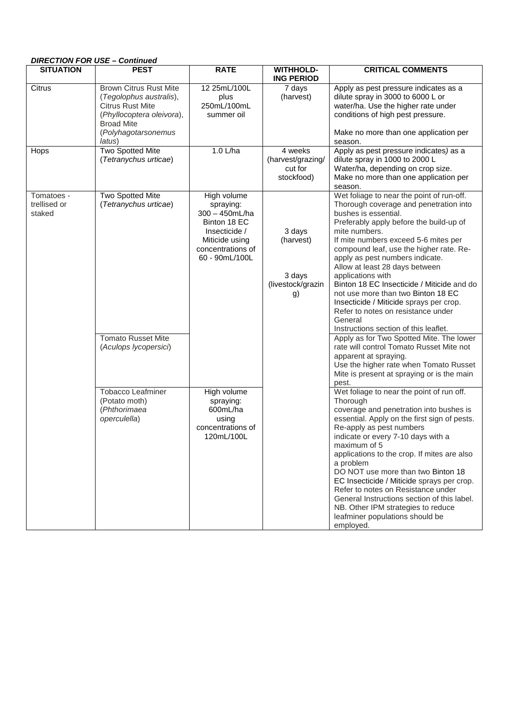| <b>DIRECTION FOR USE - Continued</b> |                                                                                                                                                                        |                                                                                                                                        |                                                          |                                                                                                                                                                                                                                                                                                                                                                                                                                                                                                                                                                                                                                                                                                                                          |  |
|--------------------------------------|------------------------------------------------------------------------------------------------------------------------------------------------------------------------|----------------------------------------------------------------------------------------------------------------------------------------|----------------------------------------------------------|------------------------------------------------------------------------------------------------------------------------------------------------------------------------------------------------------------------------------------------------------------------------------------------------------------------------------------------------------------------------------------------------------------------------------------------------------------------------------------------------------------------------------------------------------------------------------------------------------------------------------------------------------------------------------------------------------------------------------------------|--|
| <b>SITUATION</b>                     | <b>PEST</b>                                                                                                                                                            | <b>RATE</b>                                                                                                                            | <b>WITHHOLD-</b><br><b>ING PERIOD</b>                    | <b>CRITICAL COMMENTS</b>                                                                                                                                                                                                                                                                                                                                                                                                                                                                                                                                                                                                                                                                                                                 |  |
| Citrus                               | <b>Brown Citrus Rust Mite</b><br>(Tegolophus australis),<br><b>Citrus Rust Mite</b><br>(Phyllocoptera oleivora),<br><b>Broad Mite</b><br>(Polyhagotarsonemus<br>latus) | 12 25mL/100L<br>plus<br>250mL/100mL<br>summer oil                                                                                      | 7 days<br>(harvest)                                      | Apply as pest pressure indicates as a<br>dilute spray in 3000 to 6000 L or<br>water/ha. Use the higher rate under<br>conditions of high pest pressure.<br>Make no more than one application per<br>season.                                                                                                                                                                                                                                                                                                                                                                                                                                                                                                                               |  |
| Hops                                 | Two Spotted Mite<br>(Tetranychus urticae)                                                                                                                              | 1.0 L/ha                                                                                                                               | 4 weeks<br>(harvest/grazing/<br>cut for<br>stockfood)    | Apply as pest pressure indicates) as a<br>dilute spray in 1000 to 2000 L<br>Water/ha, depending on crop size.<br>Make no more than one application per<br>season.                                                                                                                                                                                                                                                                                                                                                                                                                                                                                                                                                                        |  |
| Tomatoes -<br>trellised or<br>staked | Two Spotted Mite<br>(Tetranychus urticae)<br><b>Tomato Russet Mite</b><br>(Aculops lycopersici)                                                                        | High volume<br>spraying:<br>$300 - 450mL/ha$<br>Binton 18 EC<br>Insecticide /<br>Miticide using<br>concentrations of<br>60 - 90mL/100L | 3 days<br>(harvest)<br>3 days<br>(livestock/grazin<br>g) | Wet foliage to near the point of run-off.<br>Thorough coverage and penetration into<br>bushes is essential.<br>Preferably apply before the build-up of<br>mite numbers.<br>If mite numbers exceed 5-6 mites per<br>compound leaf, use the higher rate. Re-<br>apply as pest numbers indicate.<br>Allow at least 28 days between<br>applications with<br>Binton 18 EC Insecticide / Miticide and do<br>not use more than two Binton 18 EC<br>Insecticide / Miticide sprays per crop.<br>Refer to notes on resistance under<br>General<br>Instructions section of this leaflet.<br>Apply as for Two Spotted Mite. The lower<br>rate will control Tomato Russet Mite not<br>apparent at spraying.<br>Use the higher rate when Tomato Russet |  |
|                                      | Tobacco Leafminer<br>(Potato moth)<br>(Phthorimaea<br>operculella)                                                                                                     | High volume<br>spraying:<br>600mL/ha<br>using<br>concentrations of<br>120mL/100L                                                       |                                                          | Mite is present at spraying or is the main<br>pest.<br>Wet foliage to near the point of run off.<br>Thorough<br>coverage and penetration into bushes is<br>essential. Apply on the first sign of pests.<br>Re-apply as pest numbers<br>indicate or every 7-10 days with a<br>maximum of 5<br>applications to the crop. If mites are also<br>a problem<br>DO NOT use more than two Binton 18<br>EC Insecticide / Miticide sprays per crop.<br>Refer to notes on Resistance under<br>General Instructions section of this label.<br>NB. Other IPM strategies to reduce<br>leafminer populations should be<br>employed.                                                                                                                     |  |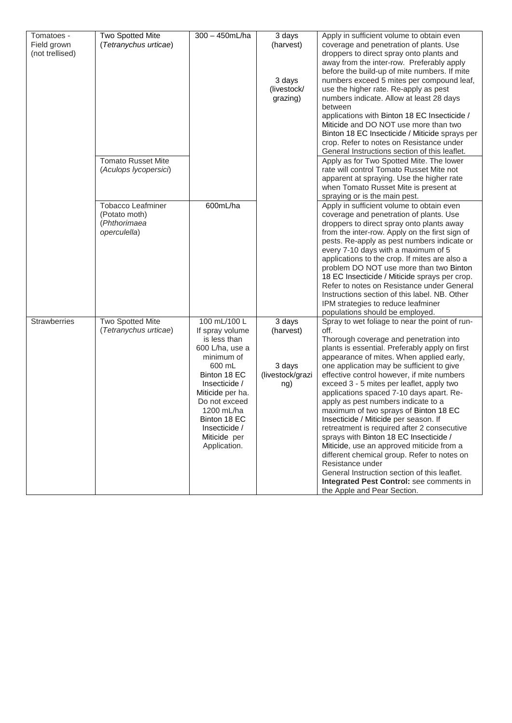| Tomatoes -          | Two Spotted Mite          | 300 - 450mL/ha   | 3 days           | Apply in sufficient volume to obtain even                                                   |
|---------------------|---------------------------|------------------|------------------|---------------------------------------------------------------------------------------------|
| Field grown         | (Tetranychus urticae)     |                  | (harvest)        | coverage and penetration of plants. Use                                                     |
| (not trellised)     |                           |                  |                  | droppers to direct spray onto plants and                                                    |
|                     |                           |                  |                  | away from the inter-row. Preferably apply                                                   |
|                     |                           |                  |                  | before the build-up of mite numbers. If mite                                                |
|                     |                           |                  | 3 days           | numbers exceed 5 mites per compound leaf,                                                   |
|                     |                           |                  | (livestock/      | use the higher rate. Re-apply as pest                                                       |
|                     |                           |                  | grazing)         | numbers indicate. Allow at least 28 days                                                    |
|                     |                           |                  |                  | between                                                                                     |
|                     |                           |                  |                  | applications with Binton 18 EC Insecticide /                                                |
|                     |                           |                  |                  | Miticide and DO NOT use more than two                                                       |
|                     |                           |                  |                  | Binton 18 EC Insecticide / Miticide sprays per                                              |
|                     |                           |                  |                  | crop. Refer to notes on Resistance under                                                    |
|                     |                           |                  |                  | General Instructions section of this leaflet.                                               |
|                     | <b>Tomato Russet Mite</b> |                  |                  | Apply as for Two Spotted Mite. The lower                                                    |
|                     | (Aculops lycopersici)     |                  |                  | rate will control Tomato Russet Mite not                                                    |
|                     |                           |                  |                  | apparent at spraying. Use the higher rate                                                   |
|                     |                           |                  |                  | when Tomato Russet Mite is present at                                                       |
|                     |                           |                  |                  | spraying or is the main pest.                                                               |
|                     | <b>Tobacco Leafminer</b>  | 600mL/ha         |                  | Apply in sufficient volume to obtain even                                                   |
|                     | (Potato moth)             |                  |                  | coverage and penetration of plants. Use                                                     |
|                     | (Phthorimaea              |                  |                  | droppers to direct spray onto plants away                                                   |
|                     | operculella)              |                  |                  | from the inter-row. Apply on the first sign of                                              |
|                     |                           |                  |                  | pests. Re-apply as pest numbers indicate or                                                 |
|                     |                           |                  |                  | every 7-10 days with a maximum of 5                                                         |
|                     |                           |                  |                  | applications to the crop. If mites are also a                                               |
|                     |                           |                  |                  | problem DO NOT use more than two Binton                                                     |
|                     |                           |                  |                  | 18 EC Insecticide / Miticide sprays per crop.<br>Refer to notes on Resistance under General |
|                     |                           |                  |                  | Instructions section of this label. NB. Other                                               |
|                     |                           |                  |                  | IPM strategies to reduce leafminer                                                          |
|                     |                           |                  |                  | populations should be employed.                                                             |
| <b>Strawberries</b> | <b>Two Spotted Mite</b>   | 100 mL/100 L     | 3 days           | Spray to wet foliage to near the point of run-                                              |
|                     | (Tetranychus urticae)     | If spray volume  | (harvest)        | off.                                                                                        |
|                     |                           | is less than     |                  | Thorough coverage and penetration into                                                      |
|                     |                           | 600 L/ha, use a  |                  | plants is essential. Preferably apply on first                                              |
|                     |                           | minimum of       |                  | appearance of mites. When applied early,                                                    |
|                     |                           | 600 mL           | 3 days           | one application may be sufficient to give                                                   |
|                     |                           | Binton 18 EC     | (livestock/grazi | effective control however, if mite numbers                                                  |
|                     |                           | Insecticide /    | ng)              | exceed 3 - 5 mites per leaflet, apply two                                                   |
|                     |                           | Miticide per ha. |                  | applications spaced 7-10 days apart. Re-                                                    |
|                     |                           | Do not exceed    |                  | apply as pest numbers indicate to a                                                         |
|                     |                           | 1200 mL/ha       |                  | maximum of two sprays of Binton 18 EC                                                       |
|                     |                           | Binton 18 EC     |                  | Insecticide / Miticide per season. If                                                       |
|                     |                           | Insecticide /    |                  | retreatment is required after 2 consecutive                                                 |
|                     |                           | Miticide per     |                  | sprays with Binton 18 EC Insecticide /                                                      |
|                     |                           | Application.     |                  | Miticide, use an approved miticide from a                                                   |
|                     |                           |                  |                  | different chemical group. Refer to notes on                                                 |
|                     |                           |                  |                  | Resistance under                                                                            |
|                     |                           |                  |                  | General Instruction section of this leaflet.                                                |
|                     |                           |                  |                  | Integrated Pest Control: see comments in                                                    |
|                     |                           |                  |                  | the Apple and Pear Section.                                                                 |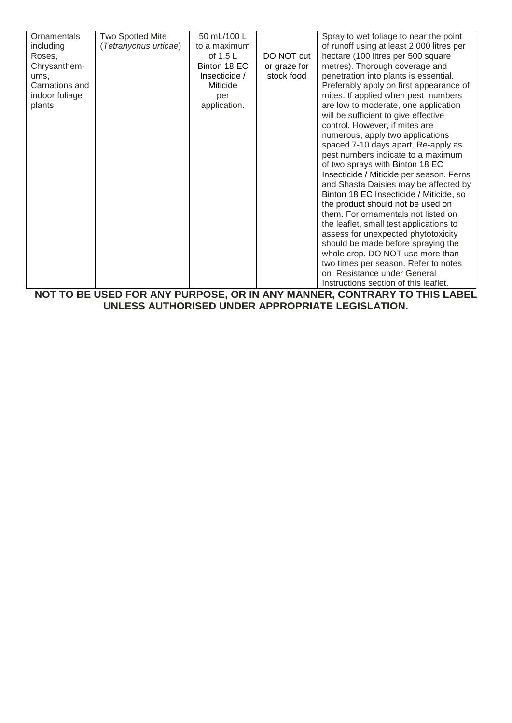| Ornamentals    | <b>Two Spotted Mite</b> | 50 mL/100 L   |              | Spray to wet foliage to near the point    |
|----------------|-------------------------|---------------|--------------|-------------------------------------------|
| including      | (Tetranychus urticae)   | to a maximum  |              | of runoff using at least 2,000 litres per |
| Roses,         |                         | of $1.5 L$    | DO NOT cut   | hectare (100 litres per 500 square        |
| Chrysanthem-   |                         | Binton 18 EC  | or graze for | metres). Thorough coverage and            |
| ums,           |                         | Insecticide / | stock food   | penetration into plants is essential.     |
| Carnations and |                         | Miticide      |              | Preferably apply on first appearance of   |
| indoor foliage |                         | per           |              | mites. If applied when pest numbers       |
| plants         |                         | application.  |              | are low to moderate, one application      |
|                |                         |               |              | will be sufficient to give effective      |
|                |                         |               |              | control. However, if mites are            |
|                |                         |               |              | numerous, apply two applications          |
|                |                         |               |              | spaced 7-10 days apart. Re-apply as       |
|                |                         |               |              | pest numbers indicate to a maximum        |
|                |                         |               |              | of two sprays with Binton 18 EC           |
|                |                         |               |              | Insecticide / Miticide per season. Ferns  |
|                |                         |               |              | and Shasta Daisies may be affected by     |
|                |                         |               |              | Binton 18 EC Insecticide / Miticide, so   |
|                |                         |               |              | the product should not be used on         |
|                |                         |               |              | them. For ornamentals not listed on       |
|                |                         |               |              | the leaflet, small test applications to   |
|                |                         |               |              | assess for unexpected phytotoxicity       |
|                |                         |               |              | should be made before spraying the        |
|                |                         |               |              | whole crop. DO NOT use more than          |
|                |                         |               |              | two times per season. Refer to notes      |
|                |                         |               |              | on Resistance under General               |
|                |                         |               |              | Instructions section of this leaflet.     |

**NOT TO BE USED FOR ANY PURPOSE, OR IN ANY MANNER, CONTRARY TO THIS LABEL UNLESS AUTHORISED UNDER APPROPRIATE LEGISLATION.**